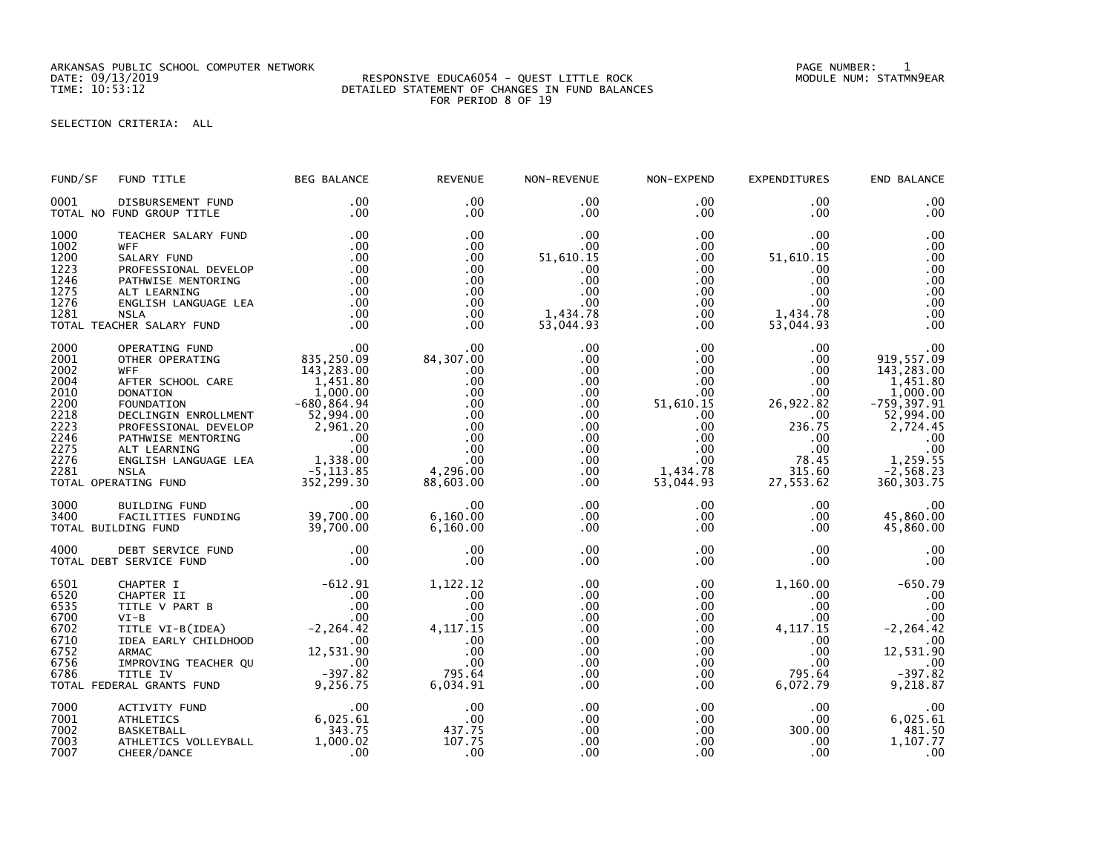ARKANSAS PUBLIC SCHOOL COMPUTER NETWORK PAGE NUMBER: 1

## DATE: 09/13/2019 RESPONSIVE EDUCA6054 - QUEST LITTLE ROCK MODULE NUM: STATMN9EAR TIME: 10:53:12 DETAILED STATEMENT OF CHANGES IN FUND BALANCES FOR PERIOD 8 OF 19

SELECTION CRITERIA: ALL

| FUND/SF                                                                                      | FUND TITLE                                                                                                                                                                                                                                                                                  | <b>BEG BALANCE</b>                                             | <b>REVENUE</b>                                                                                                       | NON-REVENUE                                                                                                              | NON-EXPEND                                                                                                                                   | <b>EXPENDITURES</b>                                                                                                         | END BALANCE                                                                                                                                                             |
|----------------------------------------------------------------------------------------------|---------------------------------------------------------------------------------------------------------------------------------------------------------------------------------------------------------------------------------------------------------------------------------------------|----------------------------------------------------------------|----------------------------------------------------------------------------------------------------------------------|--------------------------------------------------------------------------------------------------------------------------|----------------------------------------------------------------------------------------------------------------------------------------------|-----------------------------------------------------------------------------------------------------------------------------|-------------------------------------------------------------------------------------------------------------------------------------------------------------------------|
| 0001                                                                                         | DISBURSEMENT FUND<br>TOTAL NO FUND GROUP TITLE                                                                                                                                                                                                                                              | $.00 \,$<br>.00                                                | $.00 \times$<br>.00                                                                                                  | $.00 \,$<br>$.00 \,$                                                                                                     | $.00 \,$<br>$.00 \,$                                                                                                                         | $.00 \,$<br>.00.                                                                                                            | .00<br>.00                                                                                                                                                              |
| 1000<br>1002<br>1200<br>1223<br>1246<br>1275<br>1276<br>1281                                 | TEACHER SALARY FUND<br><b>WFF</b><br>SALARY FUND<br>PROFESSIONAL DEVELOP<br>PATHWISE MENTORING<br>ALT LEARNING<br>ENGLISH LANGUAGE LEA<br>NSLA<br><b>NSLA</b><br>TOTAL TEACHER SALARY FUND                                                                                                  | .00<br>.00<br>.00<br>.00<br>$0.00$<br>.00<br>.00<br>.00<br>.00 | .00<br>.00<br>.00<br>.00<br>.00<br>.00<br>.00<br>.00<br>.00                                                          | .00<br>$.00 \,$<br>51,610.15<br>.00<br>.00<br>.00<br>.00<br>1,434.78<br>53,044.93                                        | $.00 \,$<br>$.00 \,$<br>$.00 \,$<br>$.00 \,$<br>$.00 \,$<br>$.00\,$<br>$.00\,$<br>$.00 \,$<br>$.00 \,$                                       | .00<br>.00.<br>51,610.15<br>.00<br>.00<br>.00<br>$.00 \,$<br>1,434.78<br>53,044.93                                          | .00<br>.00<br>.00<br>.00<br>.00<br>.00<br>.00<br>.00<br>.00                                                                                                             |
| 2000<br>2001<br>2002<br>2004<br>2010<br>2200<br>2218<br>2223<br>2246<br>2275<br>2276<br>2281 | 00 135, 250.00<br>THER OPERATING<br>WFF<br>WEF SCHOOL CARE<br>WEF SCHOOL CARE<br>THER SCHOOL CARE<br>143, 283.00<br>DONATION 1,000.00<br>FOUNDATION 1,000.00<br>FOUNDATION 1,000.00<br>FOUNDATION 1,000.00<br>PROFESSIONAL DEVELOP 2,961.20<br>PROFESS<br>TOTAL OPERATING FUND              |                                                                | .00<br>00 .<br>84 , 307 . 00<br>.00<br>.00<br>.00<br>.00<br>.00<br>.00<br>.00<br>.00<br>.00<br>4,296.00<br>88,603.00 | .00<br>.00<br>$.00 \,$<br>.00<br>$.00 \,$<br>.00<br>$.00 \,$<br>.00<br>.00<br>$.00 \,$<br>.00 <sub>1</sub><br>.00<br>.00 | $.00 \,$<br>.00<br>$.00\,$<br>.00<br>$.00\,$<br>51,610.15<br>$.00 \,$<br>$.00 \,$<br>$.00\,$<br>$.00\,$<br>$.00 \,$<br>1,434.78<br>53,044.93 | .00.<br>.00<br>.00.<br>$.00 \,$<br>$.00 \,$<br>26,922.82<br>$.00\,$<br>236.75<br>.00<br>.00<br>78.45<br>315.60<br>27,553.62 | .00<br>919,557.09<br>143,283.00<br>1,451.80<br>1,000.00<br>$-759, 397.91$<br>52,994.00<br>2,724.45<br>.00<br>.00<br>1,259.55<br>$-\overline{2}$ , 568.23<br>360, 303.75 |
| 3000<br>3400                                                                                 | BUILDING FUND<br>PACILITIES FUNDING 39,700.00<br>DING FUND 39,700.00<br>TOTAL BUILDING FUND                                                                                                                                                                                                 | .00                                                            | .00<br>6,160.00<br>6,160.00                                                                                          | $.00 \,$<br>$.00 \,$<br>$.00 \,$                                                                                         | $.00 \,$<br>$.00 \,$<br>$.00 \,$                                                                                                             | $.00 \,$<br>$.00 \,$<br>$.00 \,$                                                                                            | $00$<br>45,860.00<br>45,860.00                                                                                                                                          |
| 4000                                                                                         | DEBT SERVICE FUND<br>TOTAL DEBT SERVICE FUND                                                                                                                                                                                                                                                | $\sim$ 00<br>.00                                               | .00<br>.00                                                                                                           | .00<br>.00                                                                                                               | $.00 \,$<br>$.00 \,$                                                                                                                         | $.00 \,$<br>.00                                                                                                             | .00<br>.00                                                                                                                                                              |
| 6501<br>6520<br>6535<br>6700<br>6702<br>6710<br>6752<br>6756<br>6786                         | CHAPTER I<br>CHAPTER I<br>CHAPTER II .00<br>TITLE V PART B<br>VI-B<br>CONTILE VI-B<br>TITLE VI-B(IDEA) .00<br>CONTITLE VI-B(IDEA) .00<br>ARMAC<br>ARMAC 12,531.90<br>ARMAC 12,531.90<br>IMPROVING TEACHER QU .00<br>TITLE IV .00<br>VERAL GRANTS FUND 9,256.75<br>TOTAL FEDERAL GRANTS FUND | $-612.91$                                                      | 1,122.12<br>.00<br>.00<br>.00<br>4, 117. 15<br>$\frac{00}{00}$<br>.00<br>795.64<br>6,034.91                          | .00<br>.00<br>.00<br>.00<br>.00<br>.00<br>.00<br>.00<br>$.00 \,$<br>.00                                                  | .00<br>$.00 \,$<br>$.00\,$<br>$.00\,$<br>$.00 \,$<br>$.00 \ \,$<br>$.00\,$<br>.00<br>$.00\,$<br>$.00 \,$                                     | 1,160.00<br>$.00 \,$<br>$.00 \,$<br>$.00 \,$<br>4, 117. 15<br>$.00 \,$<br>$.00 \,$<br>.00<br>795.64<br>6,072.79             | $-650.79$<br>.00<br>.00<br>.00<br>$-2, 264.42$<br>.00<br>12,531.90<br>.00<br>$-397.82$<br>9,218.87                                                                      |
| 7000<br>7001<br>7002<br>7003<br>7007                                                         | ACTIVITY FUND<br><b>ATHLETICS</b><br><b>BASKETBALL</b><br>ATHLETICS VOLLEYBALL<br>CHEER/DANCE                                                                                                                                                                                               | 6,025.61<br>343.75<br>1,000.02<br>.00                          | .00<br>.00<br>437.75<br>107.75<br>.00                                                                                | .00<br>.00<br>.00<br>.00<br>.00                                                                                          | .00<br>$.00\,$<br>$.00 \,$<br>$.00 \,$<br>.00 <sub>1</sub>                                                                                   | $.00 \,$<br>$.00 \,$<br>300.00<br>.00<br>.00                                                                                | $00$ .<br>6,025.61<br>481.50<br>1,107.77<br>.00                                                                                                                         |